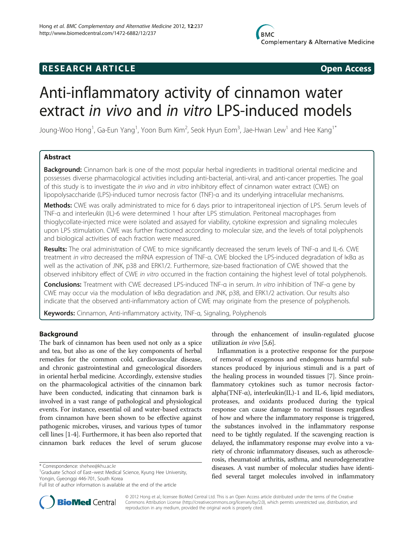## **RESEARCH ARTICLE Example 2014 CONSIDERING CONSIDERING CONSIDERING CONSIDERING CONSIDERING CONSIDERING CONSIDERING CONSIDERING CONSIDERING CONSIDERING CONSIDERING CONSIDERING CONSIDERING CONSIDERING CONSIDERING CONSIDE**

# Anti-inflammatory activity of cinnamon water extract in vivo and in vitro LPS-induced models

Joung-Woo Hong<sup>1</sup>, Ga-Eun Yang<sup>1</sup>, Yoon Bum Kim<sup>2</sup>, Seok Hyun Eom<sup>3</sup>, Jae-Hwan Lew<sup>1</sup> and Hee Kang<sup>1\*</sup>

## Abstract

Background: Cinnamon bark is one of the most popular herbal ingredients in traditional oriental medicine and possesses diverse pharmacological activities including anti-bacterial, anti-viral, and anti-cancer properties. The goal of this study is to investigate the in vivo and in vitro inhibitory effect of cinnamon water extract (CWE) on lipopolysaccharide (LPS)-induced tumor necrosis factor (TNF)-α and its underlying intracellular mechanisms.

Methods: CWE was orally administrated to mice for 6 days prior to intraperitoneal injection of LPS. Serum levels of TNF-α and interleukin (IL)-6 were determined 1 hour after LPS stimulation. Peritoneal macrophages from thioglycollate-injected mice were isolated and assayed for viability, cytokine expression and signaling molecules upon LPS stimulation. CWE was further fractioned according to molecular size, and the levels of total polyphenols and biological activities of each fraction were measured.

Results: The oral administration of CWE to mice significantly decreased the serum levels of TNF-a and IL-6. CWE treatment in vitro decreased the mRNA expression of TNF-α. CWE blocked the LPS-induced degradation of IκBα as well as the activation of JNK, p38 and ERK1/2. Furthermore, size-based fractionation of CWE showed that the observed inhibitory effect of CWE in vitro occurred in the fraction containing the highest level of total polyphenols.

Conclusions: Treatment with CWE decreased LPS-induced TNF-α in serum. In vitro inhibition of TNF-α gene by CWE may occur via the modulation of IκBα degradation and JNK, p38, and ERK1/2 activation. Our results also indicate that the observed anti-inflammatory action of CWE may originate from the presence of polyphenols.

Keywords: Cinnamon, Anti-inflammatory activity, TNF-α, Signaling, Polyphenols

## Background

The bark of cinnamon has been used not only as a spice and tea, but also as one of the key components of herbal remedies for the common cold, cardiovascular disease, and chronic gastrointestinal and gynecological disorders in oriental herbal medicine. Accordingly, extensive studies on the pharmacological activities of the cinnamon bark have been conducted, indicating that cinnamon bark is involved in a vast range of pathological and physiological events. For instance, essential oil and water-based extracts from cinnamon have been shown to be effective against pathogenic microbes, viruses, and various types of tumor cell lines [\[1-4](#page-6-0)]. Furthermore, it has been also reported that cinnamon bark reduces the level of serum glucose



Inflammation is a protective response for the purpose of removal of exogenous and endogenous harmful substances produced by injurious stimuli and is a part of the healing process in wounded tissues [[7\]](#page-7-0). Since proinflammatory cytokines such as tumor necrosis factoralpha(TNF- $\alpha$ ), interleukin(IL)-1 and IL-6, lipid mediators, proteases, and oxidants produced during the typical response can cause damage to normal tissues regardless of how and where the inflammatory response is triggered, the substances involved in the inflammatory response need to be tightly regulated. If the scavenging reaction is delayed, the inflammatory response may evolve into a variety of chronic inflammatory diseases, such as atherosclerosis, rheumatoid arthritis, asthma, and neurodegenerative diseases. A vast number of molecular studies have identified several target molecules involved in inflammatory



© 2012 Hong et al.; licensee BioMed Central Ltd. This is an Open Access article distributed under the terms of the Creative Commons Attribution License [\(http://creativecommons.org/licenses/by/2.0\)](http://creativecommons.org/licenses/by/2.0), which permits unrestricted use, distribution, and reproduction in any medium, provided the original work is properly cited.

<sup>\*</sup> Correspondence: [shehee@khu.ac.kr](mailto:shehee@khu.ac.kr) <sup>1</sup>

<sup>&</sup>lt;sup>1</sup>Graduate School of East-west Medical Science, Kyung Hee University, Yongin, Gyeonggi 446-701, South Korea

Full list of author information is available at the end of the article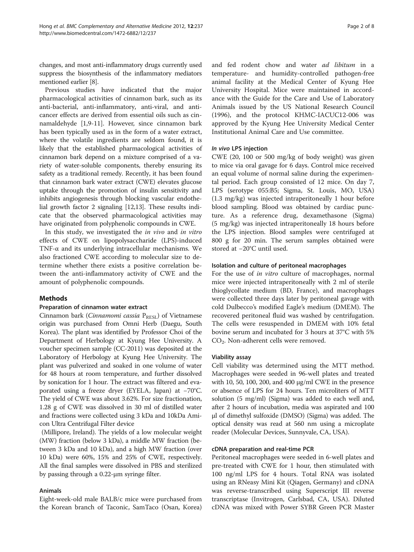changes, and most anti-inflammatory drugs currently used suppress the biosynthesis of the inflammatory mediators mentioned earlier [\[8\]](#page-7-0).

Previous studies have indicated that the major pharmacological activities of cinnamon bark, such as its anti-bacterial, anti-inflammatory, anti-viral, and anticancer effects are derived from essential oils such as cinnamaldehyde [\[1](#page-6-0)[,9](#page-7-0)-[11\]](#page-7-0). However, since cinnamon bark has been typically used as in the form of a water extract, where the volatile ingredients are seldom found, it is likely that the established pharmacological activities of cinnamon bark depend on a mixture comprised of a variety of water-soluble components, thereby ensuring its safety as a traditional remedy. Recently, it has been found that cinnamon bark water extract (CWE) elevates glucose uptake through the promotion of insulin sensitivity and inhibits angiogenesis through blocking vascular endothelial growth factor 2 signaling [\[12,13](#page-7-0)]. These results indicate that the observed pharmacological activities may have originated from polyphenolic compounds in CWE.

In this study, we investigated the in vivo and in vitro effects of CWE on lipopolysaccharide (LPS)-induced TNF-α and its underlying intracellular mechanisms. We also fractioned CWE according to molecular size to determine whether there exists a positive correlation between the anti-inflammatory activity of CWE and the amount of polyphenolic compounds.

#### Methods

#### Preparation of cinnamon water extract

Cinnamon bark (Cinnamomi cassia  $P_{RESL}$ ) of Vietnamese origin was purchased from Omni Herb (Daegu, South Korea). The plant was identified by Professor Choi of the Department of Herbology at Kyung Hee University. A voucher specimen sample (CC-2011) was deposited at the Laboratory of Herbology at Kyung Hee University. The plant was pulverized and soaked in one volume of water for 48 hours at room temperature, and further dissolved by sonication for 1 hour. The extract was filtered and evaporated using a freeze dryer (EYELA, Japan) at −70°C. The yield of CWE was about 3.62%. For size fractionation, 1.28 g of CWE was dissolved in 30 ml of distilled water and fractions were collected using 3 kDa and 10kDa Amicon Ultra Centrifugal Filter device

(Millipore, Ireland). The yields of a low molecular weight (MW) fraction (below 3 kDa), a middle MW fraction (between 3 kDa and 10 kDa), and a high MW fraction (over 10 kDa) were 60%, 15% and 25% of CWE, respectively. All the final samples were dissolved in PBS and sterilized by passing through a 0.22-μm syringe filter.

#### Animals

Eight-week-old male BALB/c mice were purchased from the Korean branch of Taconic, SamTaco (Osan, Korea)

and fed rodent chow and water ad libitum in a temperature- and humidity-controlled pathogen-free animal facility at the Medical Center of Kyung Hee University Hospital. Mice were maintained in accordance with the Guide for the Care and Use of Laboratory Animals issued by the US National Research Council (1996), and the protocol KHMC-IACUC12-006 was approved by the Kyung Hee University Medical Center Institutional Animal Care and Use committee.

#### In vivo LPS injection

CWE (20, 100 or 500 mg/kg of body weight) was given to mice via oral gavage for 6 days. Control mice received an equal volume of normal saline during the experimental period. Each group consisted of 12 mice. On day 7, LPS (serotype 055:B5; Sigma, St. Louis, MO, USA) (1.3 mg/kg) was injected intraperitoneally 1 hour before blood sampling. Blood was obtained by cardiac puncture. As a reference drug, dexamethasone (Sigma) (5 mg/kg) was injected intraperitoneally 18 hours before the LPS injection. Blood samples were centrifuged at 800 g for 20 min. The serum samples obtained were stored at −20°C until used.

#### Isolation and culture of peritoneal macrophages

For the use of *in vitro* culture of macrophages, normal mice were injected intraperitoneally with 2 ml of sterile thioglycollate medium (BD, France), and macrophages were collected three days later by peritoneal gavage with cold Dulbecco's modified Eagle's medium (DMEM). The recovered peritoneal fluid was washed by centrifugation. The cells were resuspended in DMEM with 10% fetal bovine serum and incubated for 3 hours at 37°C with 5% CO<sub>2</sub>. Non-adherent cells were removed.

#### Viability assay

Cell viability was determined using the MTT method. Macrophages were seeded in 96-well plates and treated with 10, 50, 100, 200, and 400 μg/ml CWE in the presence or absence of LPS for 24 hours. Ten microliters of MTT solution (5 mg/ml) (Sigma) was added to each well and, after 2 hours of incubation, media was aspirated and 100 μl of dimethyl sulfoxide (DMSO) (Sigma) was added. The optical density was read at 560 nm using a microplate reader (Molecular Devices, Sunnyvale, CA, USA).

## cDNA preparation and real-time PCR

Peritoneal macrophages were seeded in 6-well plates and pre-treated with CWE for 1 hour, then stimulated with 100 ng/ml LPS for 4 hours. Total RNA was isolated using an RNeasy Mini Kit (Qiagen, Germany) and cDNA was reverse-transcribed using Superscript III reverse transcriptase (Invitrogen, Carlsbad, CA, USA). Diluted cDNA was mixed with Power SYBR Green PCR Master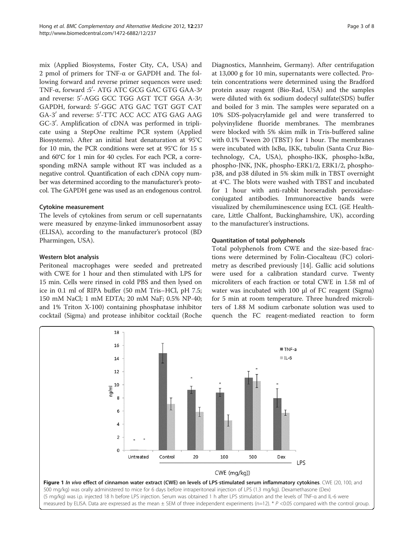<span id="page-2-0"></span>mix (Applied Biosystems, Foster City, CA, USA) and 2 pmol of primers for TNF-α or GAPDH and. The following forward and reverse primer sequences were used: TNF-α, forward :5'- ATG ATC GCG GAC GTG GAA-3/ and reverse: 5'-AGG GCC TGG AGT TCT GGA A-31; GAPDH, forward: 5′-GGC ATG GAC TGT GGT CAT GA-3' and reverse: 5'-TTC ACC ACC ATG GAG AAG GC-3'. Amplification of cDNA was performed in triplicate using a StepOne realtime PCR system (Applied Biosystems). After an initial heat denaturation at 95°C for 10 min, the PCR conditions were set at 95°C for 15 s and 60°C for 1 min for 40 cycles. For each PCR, a corresponding mRNA sample without RT was included as a negative control. Quantification of each cDNA copy number was determined according to the manufacturer's protocol. The GAPDH gene was used as an endogenous control.

#### Cytokine measurement

The levels of cytokines from serum or cell supernatants were measured by enzyme-linked immunosorbent assay (ELISA), according to the manufacturer's protocol (BD Pharmingen, USA).

#### Western blot analysis

Peritoneal macrophages were seeded and pretreated with CWE for 1 hour and then stimulated with LPS for 15 min. Cells were rinsed in cold PBS and then lysed on ice in 0.1 ml of RIPA buffer (50 mM Tris–HCl, pH 7.5; 150 mM NaCl; 1 mM EDTA; 20 mM NaF; 0.5% NP-40; and 1% Triton X-100) containing phosphatase inhibitor cocktail (Sigma) and protease inhibitor cocktail (Roche

Diagnostics, Mannheim, Germany). After centrifugation at 13,000 g for 10 min, supernatants were collected. Protein concentrations were determined using the Bradford protein assay reagent (Bio-Rad, USA) and the samples were diluted with 6x sodium dodecyl sulfate(SDS) buffer and boiled for 3 min. The samples were separated on a 10% SDS-polyacrylamide gel and were transferred to polyvinylidene fluoride membranes. The membranes were blocked with 5% skim milk in Tris-buffered saline with 0.1% Tween 20 (TBST) for 1 hour. The membranes were incubated with IκBα, IKK, tubulin (Santa Cruz Biotechnology, CA, USA), phospho-IKK, phospho-IκBα, phospho-JNK, JNK, phospho-ERK1/2, ERK1/2, phosphop38, and p38 diluted in 5% skim milk in TBST overnight at 4°C. The blots were washed with TBST and incubated for 1 hour with anti-rabbit horseradish peroxidaseconjugated antibodies. Immunoreactive bands were visualized by chemiluminescence using ECL (GE Healthcare, Little Chalfont, Buckinghamshire, UK), according to the manufacturer's instructions.

#### Quantitation of total polyphenols

Total polyphenols from CWE and the size-based fractions were determined by Folin-Ciocalteau (FC) colorimetry as described previously [\[14](#page-7-0)]. Gallic acid solutions were used for a calibration standard curve. Twenty microliters of each fraction or total CWE in 1.58 ml of water was incubated with 100 μl of FC reagent (Sigma) for 5 min at room temperature. Three hundred microliters of 1.88 M sodium carbonate solution was used to quench the FC reagent-mediated reaction to form

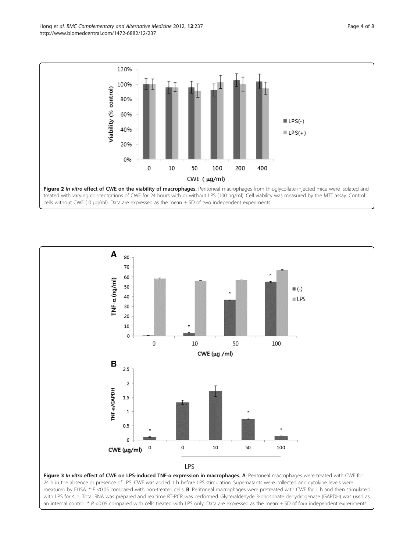<span id="page-3-0"></span>Hong et al. BMC Complementary and Alternative Medicine 2012, 12:237 http://www.biomedcentral.com/1472-6882/12/237





Figure 3 In vitro effect of CWE on LPS-induced TNF-a expression in macrophages. A: Peritoneal macrophages were treated with CWE for 24 h in the absence or presence of LPS. CWE was added 1 h before LPS stimulation. Supernatants were collected and cytokine levels were measured by ELISA. \*  $P$  <0.05 compared with non-treated cells. **B**: Peritoneal macrophages were pretreated with CWE for 1 h and then stimulated with LPS for 4 h. Total RNA was prepared and realtime RT-PCR was performed. Glyceraldehyde 3-phosphate dehydrogenase (GAPDH) was used as an internal control. \* P <0.05 compared with cells treated with LPS only. Data are expressed as the mean  $\pm$  SD of four independent experiments.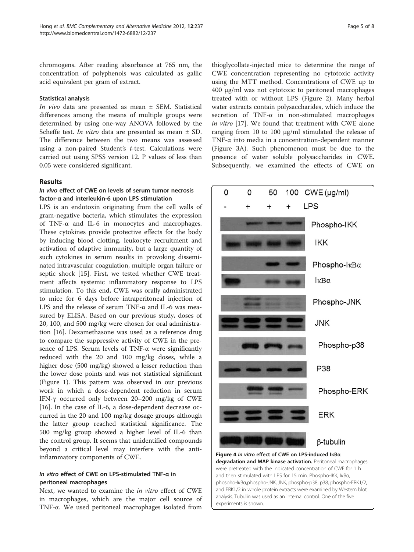<span id="page-4-0"></span>chromogens. After reading absorbance at 765 nm, the concentration of polyphenols was calculated as gallic acid equivalent per gram of extract.

#### Statistical analysis

In vivo data are presented as mean ± SEM. Statistical differences among the means of multiple groups were determined by using one-way ANOVA followed by the Scheffe test. *In vitro* data are presented as mean  $\pm$  SD. The difference between the two means was assessed using a non-paired Student's t-test. Calculations were carried out using SPSS version 12. P values of less than 0.05 were considered significant.

#### Results

## In vivo effect of CWE on levels of serum tumor necrosis factor-α and interleukin-6 upon LPS stimulation

LPS is an endotoxin originating from the cell walls of gram-negative bacteria, which stimulates the expression of TNF-α and IL-6 in monocytes and macrophages. These cytokines provide protective effects for the body by inducing blood clotting, leukocyte recruitment and activation of adaptive immunity, but a large quantity of such cytokines in serum results in provoking disseminated intravascular coagulation, multiple organ failure or septic shock [[15\]](#page-7-0). First, we tested whether CWE treatment affects systemic inflammatory response to LPS stimulation. To this end, CWE was orally administrated to mice for 6 days before intraperitoneal injection of LPS and the release of serum TNF-α and IL-6 was measured by ELISA. Based on our previous study, doses of 20, 100, and 500 mg/kg were chosen for oral administration [\[16\]](#page-7-0). Dexamethasone was used as a reference drug to compare the suppressive activity of CWE in the presence of LPS. Serum levels of TNF-α were significantly reduced with the 20 and 100 mg/kg doses, while a higher dose (500 mg/kg) showed a lesser reduction than the lower dose points and was not statistical significant (Figure [1](#page-2-0)). This pattern was observed in our previous work in which a dose-dependent reduction in serum IFN-γ occurred only between 20–200 mg/kg of CWE [[16\]](#page-7-0). In the case of IL-6, a dose-dependent decrease occurred in the 20 and 100 mg/kg dosage groups although the latter group reached statistical significance. The 500 mg/kg group showed a higher level of IL-6 than the control group. It seems that unidentified compounds beyond a critical level may interfere with the antiinflammatory components of CWE.

## In vitro effect of CWE on LPS-stimulated TNF-α in peritoneal macrophages

Next, we wanted to examine the in vitro effect of CWE in macrophages, which are the major cell source of TNF-α. We used peritoneal macrophages isolated from

thioglycollate-injected mice to determine the range of CWE concentration representing no cytotoxic activity using the MTT method. Concentrations of CWE up to 400 μg/ml was not cytotoxic to peritoneal macrophages treated with or without LPS (Figure [2\)](#page-3-0). Many herbal water extracts contain polysaccharides, which induce the secretion of TNF-α in non-stimulated macrophages in vitro [[17\]](#page-7-0). We found that treatment with CWE alone ranging from 10 to 100 μg/ml stimulated the release of TNF-α into media in a concentration-dependent manner (Figure [3A](#page-3-0)). Such phenomenon must be due to the presence of water soluble polysaccharides in CWE. Subsequently, we examined the effects of CWE on



degradation and MAP kinase activation. Peritoneal macrophages were pretreated with the indicated concentration of CWE for 1 h and then stimulated with LPS for 15 min. Phospho-IKK, IκBα, phospho-IκBα,phospho-JNK, JNK, phospho-p38, p38, phospho-ERK1/2, and ERK1/2 in whole protein extracts were examined by Western blot analysis. Tubulin was used as an internal control. One of the five experiments is shown.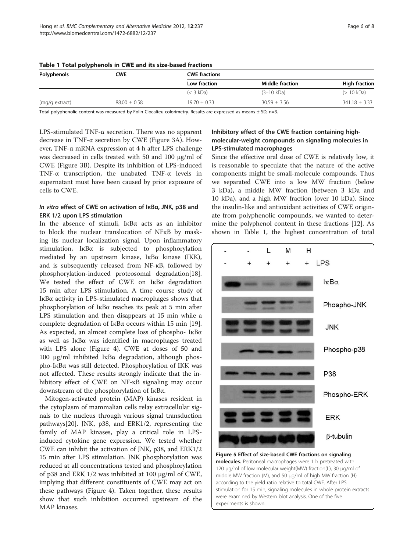| Polyphenols    | CWE              | <b>CWE fractions</b> |                        |                      |
|----------------|------------------|----------------------|------------------------|----------------------|
|                |                  | Low fraction         | <b>Middle fraction</b> | <b>High fraction</b> |
|                |                  | $(< 3$ kDa)          | $(3-10 kDa)$           | (> 10 kDa)           |
| (mg/g extract) | $88.00 \pm 0.58$ | $19.70 \pm 0.33$     | $30.59 \pm 3.56$       | $341.18 \pm 3.33$    |

<span id="page-5-0"></span>

Total polyphenolic content was measured by Folin-Ciocalteu colorimetry. Results are expressed as means  $\pm$  SD, n=3.

LPS-stimulated TNF-α secretion. There was no apparent decrease in TNF-α secretion by CWE (Figure [3](#page-3-0)A). However, TNF-α mRNA expression at 4 h after LPS challenge was decreased in cells treated with 50 and 100 μg/ml of CWE (Figure [3](#page-3-0)B). Despite its inhibition of LPS-induced TNF-α transcription, the unabated TNF-α levels in supernatant must have been caused by prior exposure of cells to CWE.

## In vitro effect of CWE on activation of IκBα, JNK, p38 and ERK 1/2 upon LPS stimulation

In the absence of stimuli, IκBα acts as an inhibitor to block the nuclear translocation of NFκB by masking its nuclear localization signal. Upon inflammatory stimulation, IκBα is subjected to phosphorylation mediated by an upstream kinase, IκBα kinase (IKK), and is subsequently released from NF-κB, followed by phosphorylation-induced proteosomal degradation[\[18](#page-7-0)]. We tested the effect of CWE on IκBα degradation 15 min after LPS stimulation. A time course study of IκBα activity in LPS-stimulated macrophages shows that phosphorylation of IκBα reaches its peak at 5 min after LPS stimulation and then disappears at 15 min while a complete degradation of IκBα occurs within 15 min [\[19](#page-7-0)]. As expected, an almost complete loss of phospho- IκBα as well as IκBα was identified in macrophages treated with LPS alone (Figure [4\)](#page-4-0). CWE at doses of 50 and 100 μg/ml inhibited IκBα degradation, although phospho-IκBα was still detected. Phosphorylation of IKK was not affected. These results strongly indicate that the inhibitory effect of CWE on NF-κB signaling may occur downstream of the phosphorylation of IκBα.

Mitogen-activated protein (MAP) kinases resident in the cytoplasm of mammalian cells relay extracellular signals to the nucleus through various signal transduction pathways[\[20](#page-7-0)]. JNK, p38, and ERK1/2, representing the family of MAP kinases, play a critical role in LPSinduced cytokine gene expression. We tested whether CWE can inhibit the activation of JNK, p38, and ERK1/2 15 min after LPS stimulation. JNK phosphorylation was reduced at all concentrations tested and phosphorylation of p38 and ERK 1/2 was inhibited at 100 μg/ml of CWE, implying that different constituents of CWE may act on these pathways (Figure [4](#page-4-0)). Taken together, these results show that such inhibition occurred upstream of the MAP kinases.

## Inhibitory effect of the CWE fraction containing highmolecular-weight compounds on signaling molecules in LPS-stimulated macrophages

Since the effective oral dose of CWE is relatively low, it is reasonable to speculate that the nature of the active components might be small-molecule compounds. Thus we separated CWE into a low MW fraction (below 3 kDa), a middle MW fraction (between 3 kDa and 10 kDa), and a high MW fraction (over 10 kDa). Since the insulin-like and antioxidant activities of CWE originate from polyphenolic compounds, we wanted to determine the polyphenol content in these fractions [[12\]](#page-7-0). As shown in Table 1, the highest concentration of total



Figure 5 Effect of size-based CWE fractions on signaling molecules. Peritoneal macrophages were 1 h pretreated with 120 μg/ml of low molecular weight(MW) fraction(L), 30 μg/ml of middle MW fraction (M), and 50 μg/ml of high MW fraction (H) according to the yield ratio relative to total CWE. After LPS stimulation for 15 min, signaling molecules in whole protein extracts were examined by Western blot analysis. One of the five experiments is shown.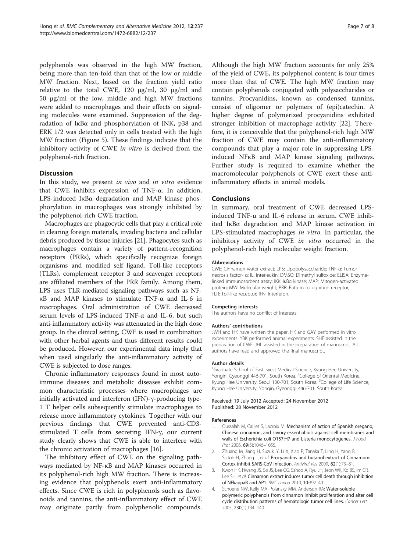<span id="page-6-0"></span>polyphenols was observed in the high MW fraction, being more than ten-fold than that of the low or middle MW fraction. Next, based on the fraction yield ratio relative to the total CWE, 120 μg/ml, 30 μg/ml and 50 μg/ml of the low, middle and high MW fractions were added to macrophages and their effects on signaling molecules were examined. Suppression of the degradation of IκBα and phosphorylation of JNK, p38 and ERK 1/2 was detected only in cells treated with the high MW fraction (Figure [5\)](#page-5-0). These findings indicate that the inhibitory activity of CWE in vitro is derived from the polyphenol-rich fraction.

#### **Discussion**

In this study, we present *in vivo* and *in vitro* evidence that CWE inhibits expression of TNF-α. In addition, LPS-induced IκBα degradation and MAP kinase phosphorylation in macrophages was strongly inhibited by the polyphenol-rich CWE fraction.

Macrophages are phagocytic cells that play a critical role in clearing foreign materials, invading bacteria and cellular debris produced by tissue injuries [[21](#page-7-0)]. Phagocytes such as macrophages contain a variety of pattern-recognition receptors (PRRs), which specifically recognize foreign organisms and modified self ligand. Toll-like receptors (TLRs), complement receptor 3 and scavenger receptors are affiliated members of the PRR family. Among them, LPS uses TLR-mediated signaling pathways such as NFκB and MAP kinases to stimulate TNF-α and IL-6 in macrophages. Oral administration of CWE decreased serum levels of LPS-induced TNF-α and IL-6, but such anti-inflammatory activity was attenuated in the high dose group. In the clinical setting, CWE is used in combination with other herbal agents and thus different results could be produced. However, our experimental data imply that when used singularly the anti-inflammatory activity of CWE is subjected to dose ranges.

Chronic inflammatory responses found in most autoimmune diseases and metabolic diseases exhibit common characteristic processes where macrophages are initially activated and interferon (IFN)-γ-producing type-1 T helper cells subsequently stimulate macrophages to release more inflammatory cytokines. Together with our previous findings that CWE prevented anti-CD3 stimulated T cells from secreting IFN-γ, our current study clearly shows that CWE is able to interfere with the chronic activation of macrophages [[16](#page-7-0)].

The inhibitory effect of CWE on the signaling pathways mediated by NF-κB and MAP kinases occurred in its polyphenol-rich high MW fraction. There is increasing evidence that polyphenols exert anti-inflammatory effects. Since CWE is rich in polyphenols such as flavonoids and tannins, the anti-inflammatory effect of CWE may originate partly from polyphenolic compounds. Although the high MW fraction accounts for only 25% of the yield of CWE, its polyphenol content is four times more than that of CWE. The high MW fraction may contain polyphenols conjugated with polysaccharides or tannins. Procyanidins, known as condensed tannins, consist of oligomer or polymers of (epi)catechin. A higher degree of polymerized procyanidins exhibited stronger inhibition of macrophage activity [\[22\]](#page-7-0). Therefore, it is conceivable that the polyphenol-rich high MW fraction of CWE may contain the anti-inflammatory compounds that play a major role in suppressing LPSinduced NFκB and MAP kinase signaling pathways. Further study is required to examine whether the macromolecular polyphenols of CWE exert these antiinflammatory effects in animal models.

#### Conclusions

In summary, oral treatment of CWE decreased LPSinduced TNF-α and IL-6 release in serum. CWE inhibited IκBα degradation and MAP kinase activation in LPS-stimulated macrophages in vitro. In particular, the inhibitory activity of CWE in vitro occurred in the polyphenol-rich high molecular weight fraction.

#### Abbreviations

CWE: Cinnamon water extract; LPS: Lipopolysaccharide; TNF-α: Tumor necrosis factor- α; IL: Interleukin; DMSO: Dimethyl sulfoxide; ELISA: Enzymelinked immunosorbent assay; IKK: IκBα kinase; MAP: Mitogen-activated protein; MW: Molecular weight; PRR: Pattern recognition receptor; TLR: Toll-like receptor; IFN: Interferon.

#### Competing interests

The authors have no conflict of interests.

#### Authors' contributions

JWH and HK have written the paper. HK and GAY performed in vitro experiments. YBK performed animal experiments. SHE assisted in the preparation of CWE. JHL assisted in the preparation of manuscript. All authors have read and approved the final manuscript.

#### Author details

<sup>1</sup>Graduate School of East-west Medical Science, Kyung Hee University, Yongin, Gyeonggi 446-701, South Korea. <sup>2</sup>College of Oriental Medicine Kyung Hee University, Seoul 130-701, South Korea. <sup>3</sup>College of Life Science Kyung Hee University, Yongin, Gyeonggi 446-701, South Korea.

#### Received: 19 July 2012 Accepted: 24 November 2012 Published: 28 November 2012

#### References

- 1. Oussalah M, Caillet S, Lacroix M: Mechanism of action of Spanish oregano, Chinese cinnamon, and savory essential oils against cell membranes and walls of Escherichia coli O157:H7 and Listeria monocytogenes. J Food Prot 2006, 69(5):1046-1055.
- 2. Zhuang M, Jiang H, Suzuki Y, Li X, Xiao P, Tanaka T, Ling H, Yang B, Saitoh H, Zhang L, et al: Procyanidins and butanol extract of Cinnamomi Cortex inhibit SARS-CoV infection. Antiviral Res 2009, 82(1):73–81.
- 3. Kwon HK, Hwang JS, So JS, Lee CG, Sahoo A, Ryu JH, Jeon WK, Ko BS, Im CR, Lee SH, et al: Cinnamon extract induces tumor cell death through inhibition of NFkappaB and AP1. BMC cancer 2010, 10:392–401.
- 4. Schoene NW, Kelly MA, Polansky MM, Anderson RA: Water-soluble polymeric polyphenols from cinnamon inhibit proliferation and alter cell cycle distribution patterns of hematologic tumor cell lines. Cancer Lett 2005, 230(1):134–140.